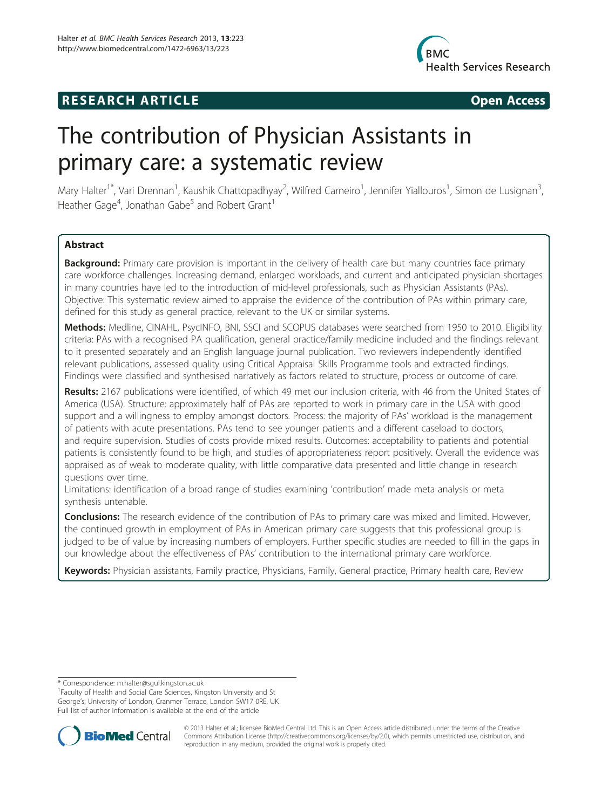## **RESEARCH ARTICLE Example 2014 12:30 The SEAR CHA RESEARCH ARTICLE**



# The contribution of Physician Assistants in primary care: a systematic review

Mary Halter<sup>1\*</sup>, Vari Drennan<sup>1</sup>, Kaushik Chattopadhyay<sup>2</sup>, Wilfred Carneiro<sup>1</sup>, Jennifer Yiallouros<sup>1</sup>, Simon de Lusignan<sup>3</sup> , Heather Gage<sup>4</sup>, Jonathan Gabe<sup>5</sup> and Robert Grant<sup>1</sup>

### Abstract

Background: Primary care provision is important in the delivery of health care but many countries face primary care workforce challenges. Increasing demand, enlarged workloads, and current and anticipated physician shortages in many countries have led to the introduction of mid-level professionals, such as Physician Assistants (PAs). Objective: This systematic review aimed to appraise the evidence of the contribution of PAs within primary care, defined for this study as general practice, relevant to the UK or similar systems.

Methods: Medline, CINAHL, PsycINFO, BNI, SSCI and SCOPUS databases were searched from 1950 to 2010. Eligibility criteria: PAs with a recognised PA qualification, general practice/family medicine included and the findings relevant to it presented separately and an English language journal publication. Two reviewers independently identified relevant publications, assessed quality using Critical Appraisal Skills Programme tools and extracted findings. Findings were classified and synthesised narratively as factors related to structure, process or outcome of care.

Results: 2167 publications were identified, of which 49 met our inclusion criteria, with 46 from the United States of America (USA). Structure: approximately half of PAs are reported to work in primary care in the USA with good support and a willingness to employ amongst doctors. Process: the majority of PAs' workload is the management of patients with acute presentations. PAs tend to see younger patients and a different caseload to doctors, and require supervision. Studies of costs provide mixed results. Outcomes: acceptability to patients and potential patients is consistently found to be high, and studies of appropriateness report positively. Overall the evidence was appraised as of weak to moderate quality, with little comparative data presented and little change in research questions over time.

Limitations: identification of a broad range of studies examining 'contribution' made meta analysis or meta synthesis untenable.

**Conclusions:** The research evidence of the contribution of PAs to primary care was mixed and limited. However, the continued growth in employment of PAs in American primary care suggests that this professional group is judged to be of value by increasing numbers of employers. Further specific studies are needed to fill in the gaps in our knowledge about the effectiveness of PAs' contribution to the international primary care workforce.

Keywords: Physician assistants, Family practice, Physicians, Family, General practice, Primary health care, Review

<sup>&</sup>lt;sup>1</sup>Faculty of Health and Social Care Sciences, Kingston University and St George's, University of London, Cranmer Terrace, London SW17 0RE, UK Full list of author information is available at the end of the article



© 2013 Halter et al.; licensee BioMed Central Ltd. This is an Open Access article distributed under the terms of the Creative Commons Attribution License [\(http://creativecommons.org/licenses/by/2.0\)](http://creativecommons.org/licenses/by/2.0), which permits unrestricted use, distribution, and reproduction in any medium, provided the original work is properly cited.

<sup>\*</sup> Correspondence: [m.halter@sgul.kingston.ac.uk](mailto:m.halter@sgul.kingston.ac.uk) <sup>1</sup>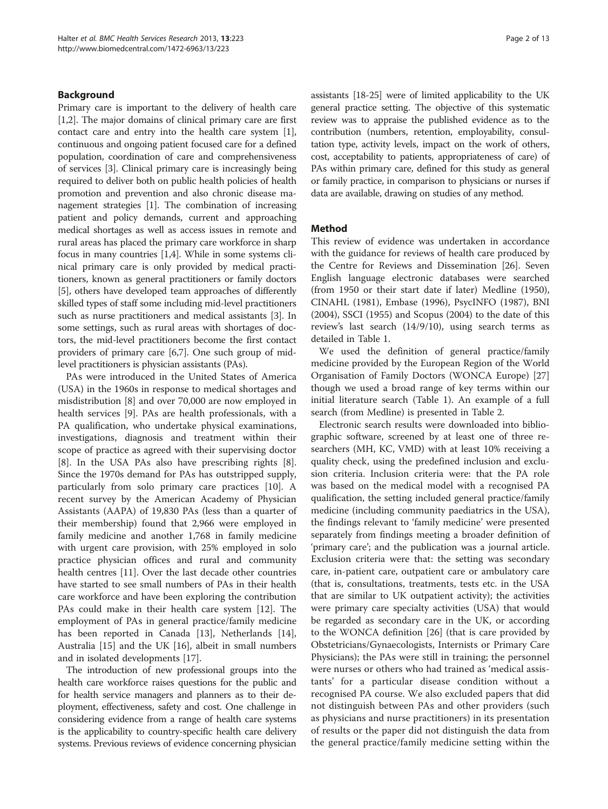#### Background

Primary care is important to the delivery of health care [[1,2](#page-10-0)]. The major domains of clinical primary care are first contact care and entry into the health care system [[1](#page-10-0)], continuous and ongoing patient focused care for a defined population, coordination of care and comprehensiveness of services [[3\]](#page-10-0). Clinical primary care is increasingly being required to deliver both on public health policies of health promotion and prevention and also chronic disease management strategies [\[1](#page-10-0)]. The combination of increasing patient and policy demands, current and approaching medical shortages as well as access issues in remote and rural areas has placed the primary care workforce in sharp focus in many countries [[1,4](#page-10-0)]. While in some systems clinical primary care is only provided by medical practitioners, known as general practitioners or family doctors [[5\]](#page-11-0), others have developed team approaches of differently skilled types of staff some including mid-level practitioners such as nurse practitioners and medical assistants [\[3](#page-10-0)]. In some settings, such as rural areas with shortages of doctors, the mid-level practitioners become the first contact providers of primary care [\[6,7\]](#page-11-0). One such group of midlevel practitioners is physician assistants (PAs).

PAs were introduced in the United States of America (USA) in the 1960s in response to medical shortages and misdistribution [[8\]](#page-11-0) and over 70,000 are now employed in health services [[9\]](#page-11-0). PAs are health professionals, with a PA qualification, who undertake physical examinations, investigations, diagnosis and treatment within their scope of practice as agreed with their supervising doctor [[8\]](#page-11-0). In the USA PAs also have prescribing rights [\[8](#page-11-0)]. Since the 1970s demand for PAs has outstripped supply, particularly from solo primary care practices [[10](#page-11-0)]. A recent survey by the American Academy of Physician Assistants (AAPA) of 19,830 PAs (less than a quarter of their membership) found that 2,966 were employed in family medicine and another 1,768 in family medicine with urgent care provision, with 25% employed in solo practice physician offices and rural and community health centres [[11\]](#page-11-0). Over the last decade other countries have started to see small numbers of PAs in their health care workforce and have been exploring the contribution PAs could make in their health care system [[12](#page-11-0)]. The employment of PAs in general practice/family medicine has been reported in Canada [[13](#page-11-0)], Netherlands [\[14](#page-11-0)], Australia [\[15](#page-11-0)] and the UK [\[16\]](#page-11-0), albeit in small numbers and in isolated developments [\[17](#page-11-0)].

The introduction of new professional groups into the health care workforce raises questions for the public and for health service managers and planners as to their deployment, effectiveness, safety and cost. One challenge in considering evidence from a range of health care systems is the applicability to country-specific health care delivery systems. Previous reviews of evidence concerning physician assistants [[18](#page-11-0)-[25](#page-11-0)] were of limited applicability to the UK general practice setting. The objective of this systematic review was to appraise the published evidence as to the contribution (numbers, retention, employability, consultation type, activity levels, impact on the work of others, cost, acceptability to patients, appropriateness of care) of PAs within primary care, defined for this study as general or family practice, in comparison to physicians or nurses if data are available, drawing on studies of any method.

#### Method

This review of evidence was undertaken in accordance with the guidance for reviews of health care produced by the Centre for Reviews and Dissemination [[26\]](#page-11-0). Seven English language electronic databases were searched (from 1950 or their start date if later) Medline (1950), CINAHL (1981), Embase (1996), PsycINFO (1987), BNI (2004), SSCI (1955) and Scopus (2004) to the date of this review's last search (14/9/10), using search terms as detailed in Table [1](#page-2-0).

We used the definition of general practice/family medicine provided by the European Region of the World Organisation of Family Doctors (WONCA Europe) [[27](#page-11-0)] though we used a broad range of key terms within our initial literature search (Table [1](#page-2-0)). An example of a full search (from Medline) is presented in Table [2](#page-3-0).

Electronic search results were downloaded into bibliographic software, screened by at least one of three researchers (MH, KC, VMD) with at least 10% receiving a quality check, using the predefined inclusion and exclusion criteria. Inclusion criteria were: that the PA role was based on the medical model with a recognised PA qualification, the setting included general practice/family medicine (including community paediatrics in the USA), the findings relevant to 'family medicine' were presented separately from findings meeting a broader definition of 'primary care'; and the publication was a journal article. Exclusion criteria were that: the setting was secondary care, in-patient care, outpatient care or ambulatory care (that is, consultations, treatments, tests etc. in the USA that are similar to UK outpatient activity); the activities were primary care specialty activities (USA) that would be regarded as secondary care in the UK, or according to the WONCA definition [[26\]](#page-11-0) (that is care provided by Obstetricians/Gynaecologists, Internists or Primary Care Physicians); the PAs were still in training; the personnel were nurses or others who had trained as 'medical assistants' for a particular disease condition without a recognised PA course. We also excluded papers that did not distinguish between PAs and other providers (such as physicians and nurse practitioners) in its presentation of results or the paper did not distinguish the data from the general practice/family medicine setting within the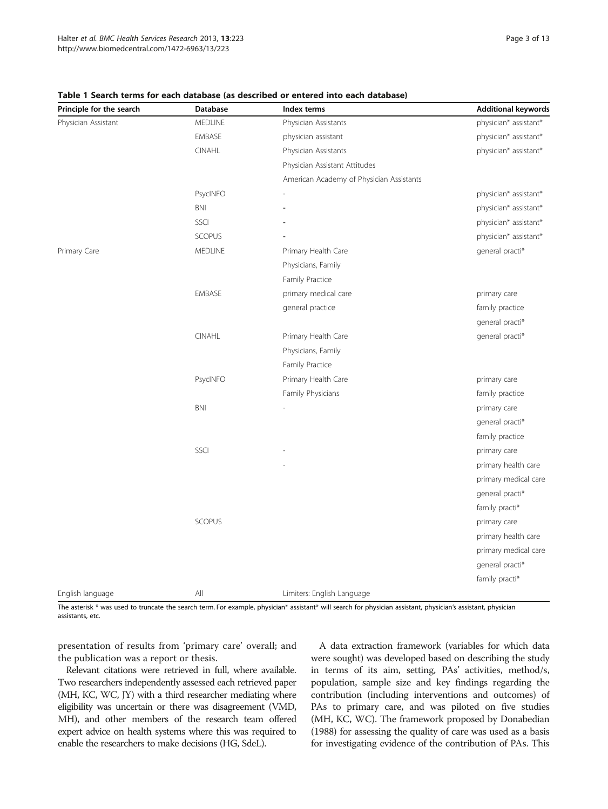| Principle for the search | Database       | Index terms                              | <b>Additional keywords</b> |
|--------------------------|----------------|------------------------------------------|----------------------------|
| Physician Assistant      | <b>MEDLINE</b> | Physician Assistants                     | physician* assistant*      |
|                          | <b>EMBASE</b>  | physician assistant                      | physician* assistant*      |
|                          | <b>CINAHL</b>  | Physician Assistants                     | physician* assistant*      |
|                          |                | Physician Assistant Attitudes            |                            |
|                          |                | American Academy of Physician Assistants |                            |
|                          | PsycINFO       |                                          | physician* assistant*      |
|                          | BNI            | $\overline{a}$                           | physician* assistant*      |
|                          | SSCI           |                                          | physician* assistant*      |
|                          | <b>SCOPUS</b>  |                                          | physician* assistant*      |
| Primary Care             | MEDLINE        | Primary Health Care                      | general practi*            |
|                          |                | Physicians, Family                       |                            |
|                          |                | Family Practice                          |                            |
|                          | <b>EMBASE</b>  | primary medical care                     | primary care               |
|                          |                | general practice                         | family practice            |
|                          |                |                                          | general practi*            |
|                          | CINAHL         | Primary Health Care                      | general practi*            |
|                          |                | Physicians, Family                       |                            |
|                          |                | Family Practice                          |                            |
|                          | PsycINFO       | Primary Health Care                      | primary care               |
|                          |                | Family Physicians                        | family practice            |
|                          | BNI            |                                          | primary care               |
|                          |                |                                          | general practi*            |
|                          |                |                                          | family practice            |
|                          | SSCI           |                                          | primary care               |
|                          |                |                                          | primary health care        |
|                          |                |                                          | primary medical care       |
|                          |                |                                          | general practi*            |
|                          |                |                                          | family practi*             |
|                          | <b>SCOPUS</b>  |                                          | primary care               |
|                          |                |                                          | primary health care        |
|                          |                |                                          | primary medical care       |
|                          |                |                                          | general practi*            |
|                          |                |                                          | family practi*             |
| English language         | All            | Limiters: English Language               |                            |

#### <span id="page-2-0"></span>Table 1 Search terms for each database (as described or entered into each database)

The asterisk \* was used to truncate the search term. For example, physician\* assistant\* will search for physician assistant, physician's assistant, physician assistants, etc.

presentation of results from 'primary care' overall; and the publication was a report or thesis.

Relevant citations were retrieved in full, where available. Two researchers independently assessed each retrieved paper (MH, KC, WC, JY) with a third researcher mediating where eligibility was uncertain or there was disagreement (VMD, MH), and other members of the research team offered expert advice on health systems where this was required to enable the researchers to make decisions (HG, SdeL).

A data extraction framework (variables for which data were sought) was developed based on describing the study in terms of its aim, setting, PAs' activities, method/s, population, sample size and key findings regarding the contribution (including interventions and outcomes) of PAs to primary care, and was piloted on five studies (MH, KC, WC). The framework proposed by Donabedian (1988) for assessing the quality of care was used as a basis for investigating evidence of the contribution of PAs. This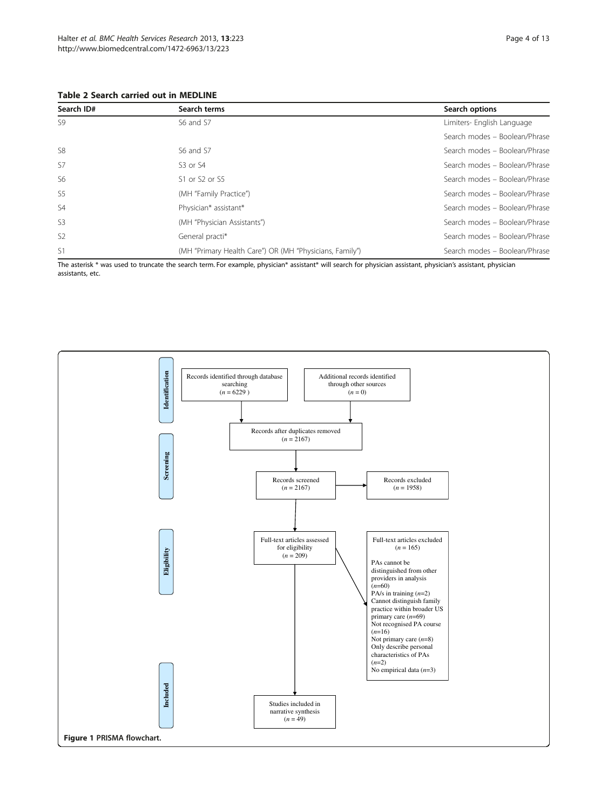<span id="page-3-0"></span>Table 2 Search carried out in MEDLINE

| Search ID#     | Search terms                                            | Search options                |
|----------------|---------------------------------------------------------|-------------------------------|
| S9             | S6 and S7                                               | Limiters- English Language    |
|                |                                                         | Search modes - Boolean/Phrase |
| S <sub>8</sub> | S6 and S7                                               | Search modes - Boolean/Phrase |
| S7             | S <sub>3</sub> or S <sub>4</sub>                        | Search modes - Boolean/Phrase |
| S <sub>6</sub> | S1 or S2 or S5                                          | Search modes - Boolean/Phrase |
| S <sub>5</sub> | (MH "Family Practice")                                  | Search modes - Boolean/Phrase |
| S4             | Physician* assistant*                                   | Search modes - Boolean/Phrase |
| S <sub>3</sub> | (MH "Physician Assistants")                             | Search modes - Boolean/Phrase |
| S <sub>2</sub> | General practi*                                         | Search modes - Boolean/Phrase |
| S1             | (MH "Primary Health Care") OR (MH "Physicians, Family") | Search modes - Boolean/Phrase |

The asterisk \* was used to truncate the search term. For example, physician\* assistant\* will search for physician assistant, physician's assistant, physician assistants, etc.

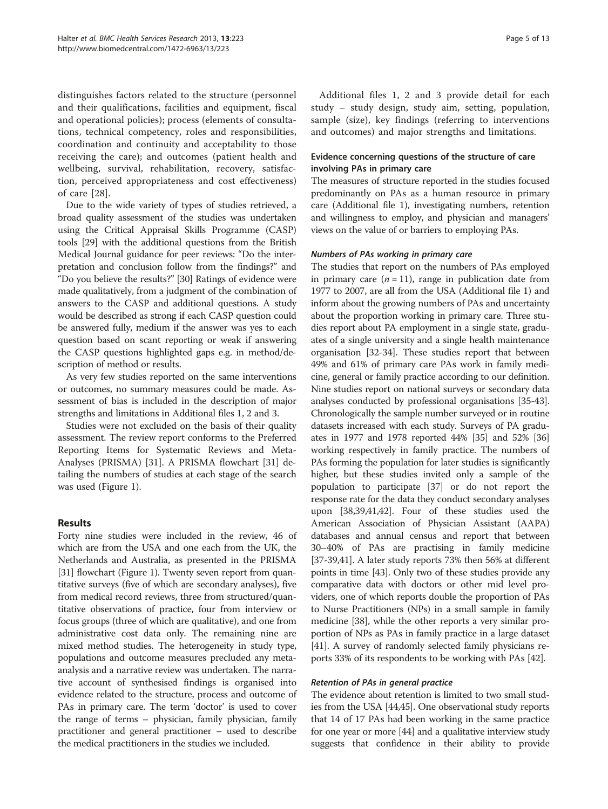distinguishes factors related to the structure (personnel and their qualifications, facilities and equipment, fiscal and operational policies); process (elements of consultations, technical competency, roles and responsibilities, coordination and continuity and acceptability to those receiving the care); and outcomes (patient health and wellbeing, survival, rehabilitation, recovery, satisfaction, perceived appropriateness and cost effectiveness) of care [[28\]](#page-11-0).

Due to the wide variety of types of studies retrieved, a broad quality assessment of the studies was undertaken using the Critical Appraisal Skills Programme (CASP) tools [\[29\]](#page-11-0) with the additional questions from the British Medical Journal guidance for peer reviews: "Do the interpretation and conclusion follow from the findings?" and "Do you believe the results?" [\[30\]](#page-11-0) Ratings of evidence were made qualitatively, from a judgment of the combination of answers to the CASP and additional questions. A study would be described as strong if each CASP question could be answered fully, medium if the answer was yes to each question based on scant reporting or weak if answering the CASP questions highlighted gaps e.g. in method/description of method or results.

As very few studies reported on the same interventions or outcomes, no summary measures could be made. Assessment of bias is included in the description of major strengths and limitations in Additional files [1](#page-10-0), [2](#page-10-0) and [3](#page-10-0).

Studies were not excluded on the basis of their quality assessment. The review report conforms to the Preferred Reporting Items for Systematic Reviews and Meta-Analyses (PRISMA) [[31](#page-11-0)]. A PRISMA flowchart [[31](#page-11-0)] detailing the numbers of studies at each stage of the search was used (Figure [1](#page-3-0)).

#### Results

Forty nine studies were included in the review, 46 of which are from the USA and one each from the UK, the Netherlands and Australia, as presented in the PRISMA [[31](#page-11-0)] flowchart (Figure [1](#page-3-0)). Twenty seven report from quantitative surveys (five of which are secondary analyses), five from medical record reviews, three from structured/quantitative observations of practice, four from interview or focus groups (three of which are qualitative), and one from administrative cost data only. The remaining nine are mixed method studies. The heterogeneity in study type, populations and outcome measures precluded any metaanalysis and a narrative review was undertaken. The narrative account of synthesised findings is organised into evidence related to the structure, process and outcome of PAs in primary care. The term 'doctor' is used to cover the range of terms – physician, family physician, family practitioner and general practitioner – used to describe the medical practitioners in the studies we included.

Additional files [1](#page-10-0), [2](#page-10-0) and [3](#page-10-0) provide detail for each study – study design, study aim, setting, population, sample (size), key findings (referring to interventions and outcomes) and major strengths and limitations.

#### Evidence concerning questions of the structure of care involving PAs in primary care

The measures of structure reported in the studies focused predominantly on PAs as a human resource in primary care (Additional file [1](#page-10-0)), investigating numbers, retention and willingness to employ, and physician and managers' views on the value of or barriers to employing PAs.

#### Numbers of PAs working in primary care

The studies that report on the numbers of PAs employed in primary care  $(n = 11)$ , range in publication date from 1977 to 2007, are all from the USA (Additional file [1\)](#page-10-0) and inform about the growing numbers of PAs and uncertainty about the proportion working in primary care. Three studies report about PA employment in a single state, graduates of a single university and a single health maintenance organisation [[32](#page-11-0)-[34](#page-11-0)]. These studies report that between 49% and 61% of primary care PAs work in family medicine, general or family practice according to our definition. Nine studies report on national surveys or secondary data analyses conducted by professional organisations [[35](#page-11-0)-[43](#page-11-0)]. Chronologically the sample number surveyed or in routine datasets increased with each study. Surveys of PA graduates in 1977 and 1978 reported 44% [[35](#page-11-0)] and 52% [[36](#page-11-0)] working respectively in family practice. The numbers of PAs forming the population for later studies is significantly higher, but these studies invited only a sample of the population to participate [[37](#page-11-0)] or do not report the response rate for the data they conduct secondary analyses upon [\[38,39,41,42\]](#page-11-0). Four of these studies used the American Association of Physician Assistant (AAPA) databases and annual census and report that between 30–40% of PAs are practising in family medicine [[37](#page-11-0)-[39,41](#page-11-0)]. A later study reports 73% then 56% at different points in time [[43](#page-11-0)]. Only two of these studies provide any comparative data with doctors or other mid level providers, one of which reports double the proportion of PAs to Nurse Practitioners (NPs) in a small sample in family medicine [[38](#page-11-0)], while the other reports a very similar proportion of NPs as PAs in family practice in a large dataset [[41](#page-11-0)]. A survey of randomly selected family physicians reports 33% of its respondents to be working with PAs [[42](#page-11-0)].

#### Retention of PAs in general practice

The evidence about retention is limited to two small studies from the USA [\[44,45\]](#page-11-0). One observational study reports that 14 of 17 PAs had been working in the same practice for one year or more [[44](#page-11-0)] and a qualitative interview study suggests that confidence in their ability to provide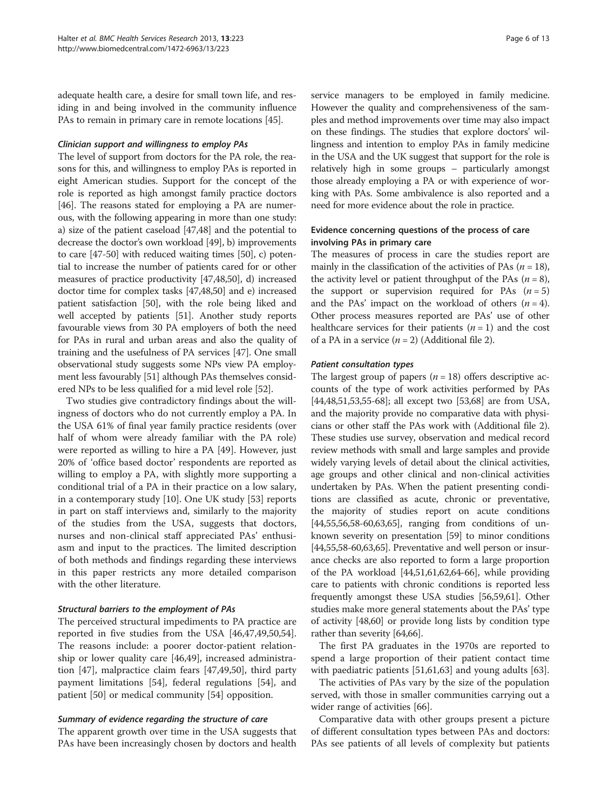adequate health care, a desire for small town life, and residing in and being involved in the community influence PAs to remain in primary care in remote locations [[45](#page-11-0)].

#### Clinician support and willingness to employ PAs

The level of support from doctors for the PA role, the reasons for this, and willingness to employ PAs is reported in eight American studies. Support for the concept of the role is reported as high amongst family practice doctors [[46](#page-11-0)]. The reasons stated for employing a PA are numerous, with the following appearing in more than one study: a) size of the patient caseload [[47,48\]](#page-11-0) and the potential to decrease the doctor's own workload [[49\]](#page-11-0), b) improvements to care [[47](#page-11-0)-[50](#page-11-0)] with reduced waiting times [[50](#page-11-0)], c) potential to increase the number of patients cared for or other measures of practice productivity [\[47,48,50](#page-11-0)], d) increased doctor time for complex tasks [\[47,48,50](#page-11-0)] and e) increased patient satisfaction [[50](#page-11-0)], with the role being liked and well accepted by patients [[51](#page-11-0)]. Another study reports favourable views from 30 PA employers of both the need for PAs in rural and urban areas and also the quality of training and the usefulness of PA services [\[47\]](#page-11-0). One small observational study suggests some NPs view PA employment less favourably [[51](#page-11-0)] although PAs themselves considered NPs to be less qualified for a mid level role [[52](#page-11-0)].

Two studies give contradictory findings about the willingness of doctors who do not currently employ a PA. In the USA 61% of final year family practice residents (over half of whom were already familiar with the PA role) were reported as willing to hire a PA [\[49\]](#page-11-0). However, just 20% of 'office based doctor' respondents are reported as willing to employ a PA, with slightly more supporting a conditional trial of a PA in their practice on a low salary, in a contemporary study [[10\]](#page-11-0). One UK study [[53](#page-11-0)] reports in part on staff interviews and, similarly to the majority of the studies from the USA, suggests that doctors, nurses and non-clinical staff appreciated PAs' enthusiasm and input to the practices. The limited description of both methods and findings regarding these interviews in this paper restricts any more detailed comparison with the other literature.

#### Structural barriers to the employment of PAs

The perceived structural impediments to PA practice are reported in five studies from the USA [[46](#page-11-0),[47,49,50,54](#page-11-0)]. The reasons include: a poorer doctor-patient relationship or lower quality care [[46,49\]](#page-11-0), increased administration [\[47\]](#page-11-0), malpractice claim fears [[47,49,50\]](#page-11-0), third party payment limitations [[54\]](#page-11-0), federal regulations [\[54](#page-11-0)], and patient [\[50\]](#page-11-0) or medical community [\[54](#page-11-0)] opposition.

#### Summary of evidence regarding the structure of care

The apparent growth over time in the USA suggests that PAs have been increasingly chosen by doctors and health

service managers to be employed in family medicine. However the quality and comprehensiveness of the samples and method improvements over time may also impact on these findings. The studies that explore doctors' willingness and intention to employ PAs in family medicine in the USA and the UK suggest that support for the role is relatively high in some groups – particularly amongst those already employing a PA or with experience of working with PAs. Some ambivalence is also reported and a need for more evidence about the role in practice.

#### Evidence concerning questions of the process of care involving PAs in primary care

The measures of process in care the studies report are mainly in the classification of the activities of PAs  $(n = 18)$ , the activity level or patient throughput of the PAs  $(n = 8)$ , the support or supervision required for PAs  $(n=5)$ and the PAs' impact on the workload of others  $(n = 4)$ . Other process measures reported are PAs' use of other healthcare services for their patients  $(n = 1)$  and the cost of a PA in a service  $(n = 2)$  $(n = 2)$  (Additional file 2).

#### Patient consultation types

The largest group of papers  $(n = 18)$  offers descriptive accounts of the type of work activities performed by PAs [[44,48,51,53,55](#page-11-0)-[68](#page-12-0)]; all except two [\[53,](#page-11-0)[68](#page-12-0)] are from USA, and the majority provide no comparative data with physicians or other staff the PAs work with (Additional file [2](#page-10-0)). These studies use survey, observation and medical record review methods with small and large samples and provide widely varying levels of detail about the clinical activities, age groups and other clinical and non-clinical activities undertaken by PAs. When the patient presenting conditions are classified as acute, chronic or preventative, the majority of studies report on acute conditions [[44](#page-11-0),[55,56,58-](#page-11-0)[60,63,65](#page-12-0)], ranging from conditions of unknown severity on presentation [\[59\]](#page-11-0) to minor conditions [[44](#page-11-0),[55,58](#page-11-0)[-60,63,65](#page-12-0)]. Preventative and well person or insurance checks are also reported to form a large proportion of the PA workload [\[44,51,](#page-11-0)[61,62,64-66\]](#page-12-0), while providing care to patients with chronic conditions is reported less frequently amongst these USA studies [\[56,59](#page-11-0)[,61](#page-12-0)]. Other studies make more general statements about the PAs' type of activity [[48](#page-11-0)[,60\]](#page-12-0) or provide long lists by condition type rather than severity [\[64,66](#page-12-0)].

The first PA graduates in the 1970s are reported to spend a large proportion of their patient contact time with paediatric patients [[51,](#page-11-0)[61,63\]](#page-12-0) and young adults [\[63\]](#page-12-0).

The activities of PAs vary by the size of the population served, with those in smaller communities carrying out a wider range of activities [\[66](#page-12-0)].

Comparative data with other groups present a picture of different consultation types between PAs and doctors: PAs see patients of all levels of complexity but patients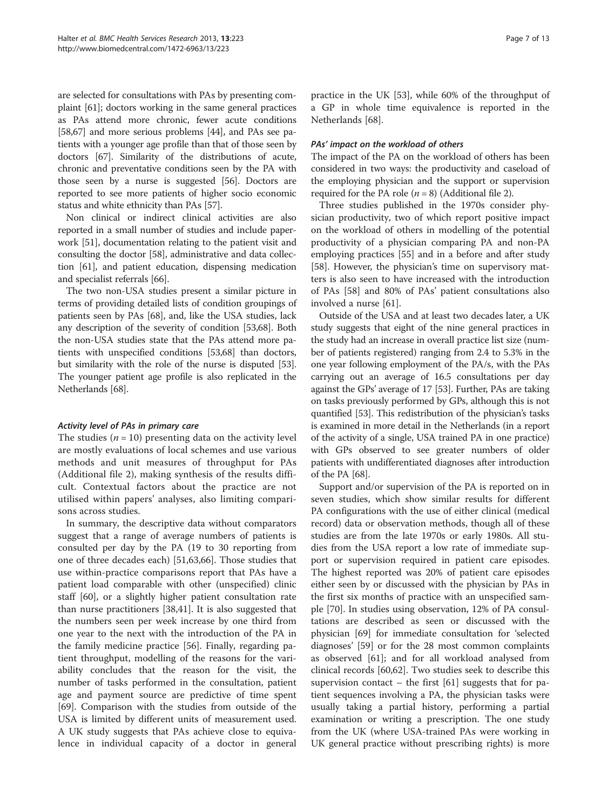are selected for consultations with PAs by presenting complaint [[61](#page-12-0)]; doctors working in the same general practices as PAs attend more chronic, fewer acute conditions [[58](#page-11-0)[,67](#page-12-0)] and more serious problems [\[44\]](#page-11-0), and PAs see patients with a younger age profile than that of those seen by doctors [\[67\]](#page-12-0). Similarity of the distributions of acute, chronic and preventative conditions seen by the PA with those seen by a nurse is suggested [\[56\]](#page-11-0). Doctors are reported to see more patients of higher socio economic status and white ethnicity than PAs [\[57\]](#page-11-0).

Non clinical or indirect clinical activities are also reported in a small number of studies and include paperwork [\[51\]](#page-11-0), documentation relating to the patient visit and consulting the doctor [\[58\]](#page-11-0), administrative and data collection [[61](#page-12-0)], and patient education, dispensing medication and specialist referrals [[66](#page-12-0)].

The two non-USA studies present a similar picture in terms of providing detailed lists of condition groupings of patients seen by PAs [\[68\]](#page-12-0), and, like the USA studies, lack any description of the severity of condition [\[53,](#page-11-0)[68](#page-12-0)]. Both the non-USA studies state that the PAs attend more patients with unspecified conditions [\[53,](#page-11-0)[68](#page-12-0)] than doctors, but similarity with the role of the nurse is disputed [[53](#page-11-0)]. The younger patient age profile is also replicated in the Netherlands [\[68\]](#page-12-0).

#### Activity level of PAs in primary care

The studies ( $n = 10$ ) presenting data on the activity level are mostly evaluations of local schemes and use various methods and unit measures of throughput for PAs (Additional file [2](#page-10-0)), making synthesis of the results difficult. Contextual factors about the practice are not utilised within papers' analyses, also limiting comparisons across studies.

In summary, the descriptive data without comparators suggest that a range of average numbers of patients is consulted per day by the PA (19 to 30 reporting from one of three decades each) [[51,](#page-11-0)[63,66\]](#page-12-0). Those studies that use within-practice comparisons report that PAs have a patient load comparable with other (unspecified) clinic staff [\[60](#page-12-0)], or a slightly higher patient consultation rate than nurse practitioners [\[38,41](#page-11-0)]. It is also suggested that the numbers seen per week increase by one third from one year to the next with the introduction of the PA in the family medicine practice [[56](#page-11-0)]. Finally, regarding patient throughput, modelling of the reasons for the variability concludes that the reason for the visit, the number of tasks performed in the consultation, patient age and payment source are predictive of time spent [[69\]](#page-12-0). Comparison with the studies from outside of the USA is limited by different units of measurement used. A UK study suggests that PAs achieve close to equivalence in individual capacity of a doctor in general

practice in the UK [[53\]](#page-11-0), while 60% of the throughput of a GP in whole time equivalence is reported in the Netherlands [[68](#page-12-0)].

#### PAs' impact on the workload of others

The impact of the PA on the workload of others has been considered in two ways: the productivity and caseload of the employing physician and the support or supervision required for the PA role  $(n = 8)$  (Additional file [2](#page-10-0)).

Three studies published in the 1970s consider physician productivity, two of which report positive impact on the workload of others in modelling of the potential productivity of a physician comparing PA and non-PA employing practices [\[55](#page-11-0)] and in a before and after study [[58\]](#page-11-0). However, the physician's time on supervisory matters is also seen to have increased with the introduction of PAs [\[58\]](#page-11-0) and 80% of PAs' patient consultations also involved a nurse [[61\]](#page-12-0).

Outside of the USA and at least two decades later, a UK study suggests that eight of the nine general practices in the study had an increase in overall practice list size (number of patients registered) ranging from 2.4 to 5.3% in the one year following employment of the PA/s, with the PAs carrying out an average of 16.5 consultations per day against the GPs' average of 17 [\[53\]](#page-11-0). Further, PAs are taking on tasks previously performed by GPs, although this is not quantified [\[53\]](#page-11-0). This redistribution of the physician's tasks is examined in more detail in the Netherlands (in a report of the activity of a single, USA trained PA in one practice) with GPs observed to see greater numbers of older patients with undifferentiated diagnoses after introduction of the PA [[68](#page-12-0)].

Support and/or supervision of the PA is reported on in seven studies, which show similar results for different PA configurations with the use of either clinical (medical record) data or observation methods, though all of these studies are from the late 1970s or early 1980s. All studies from the USA report a low rate of immediate support or supervision required in patient care episodes. The highest reported was 20% of patient care episodes either seen by or discussed with the physician by PAs in the first six months of practice with an unspecified sample [\[70\]](#page-12-0). In studies using observation, 12% of PA consultations are described as seen or discussed with the physician [[69\]](#page-12-0) for immediate consultation for 'selected diagnoses' [\[59](#page-11-0)] or for the 28 most common complaints as observed [\[61](#page-12-0)]; and for all workload analysed from clinical records [[60,62\]](#page-12-0). Two studies seek to describe this supervision contact – the first [[61\]](#page-12-0) suggests that for patient sequences involving a PA, the physician tasks were usually taking a partial history, performing a partial examination or writing a prescription. The one study from the UK (where USA-trained PAs were working in UK general practice without prescribing rights) is more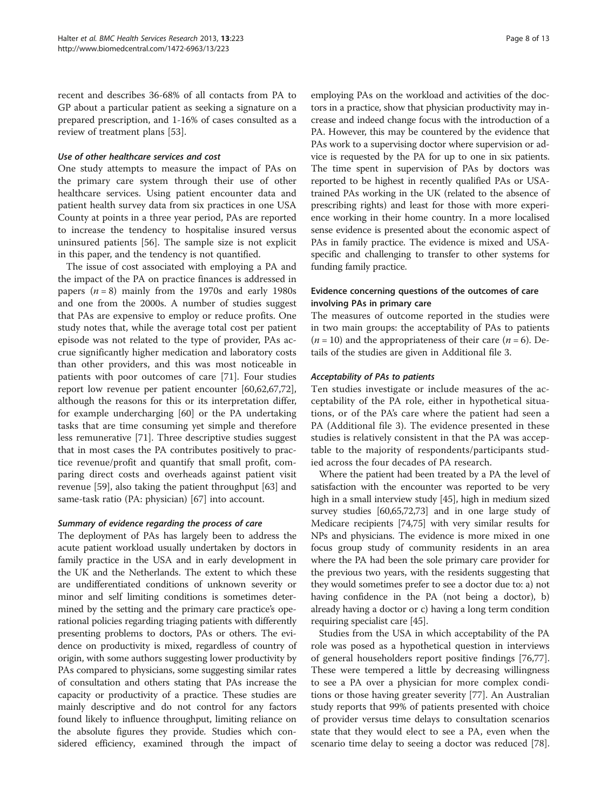recent and describes 36-68% of all contacts from PA to GP about a particular patient as seeking a signature on a prepared prescription, and 1-16% of cases consulted as a review of treatment plans [\[53](#page-11-0)].

#### Use of other healthcare services and cost

One study attempts to measure the impact of PAs on the primary care system through their use of other healthcare services. Using patient encounter data and patient health survey data from six practices in one USA County at points in a three year period, PAs are reported to increase the tendency to hospitalise insured versus uninsured patients [\[56](#page-11-0)]. The sample size is not explicit in this paper, and the tendency is not quantified.

The issue of cost associated with employing a PA and the impact of the PA on practice finances is addressed in papers  $(n = 8)$  mainly from the 1970s and early 1980s and one from the 2000s. A number of studies suggest that PAs are expensive to employ or reduce profits. One study notes that, while the average total cost per patient episode was not related to the type of provider, PAs accrue significantly higher medication and laboratory costs than other providers, and this was most noticeable in patients with poor outcomes of care [\[71](#page-12-0)]. Four studies report low revenue per patient encounter [[60,62,67,72](#page-12-0)], although the reasons for this or its interpretation differ, for example undercharging [[60](#page-12-0)] or the PA undertaking tasks that are time consuming yet simple and therefore less remunerative [\[71](#page-12-0)]. Three descriptive studies suggest that in most cases the PA contributes positively to practice revenue/profit and quantify that small profit, comparing direct costs and overheads against patient visit revenue [[59\]](#page-11-0), also taking the patient throughput [[63](#page-12-0)] and same-task ratio (PA: physician) [[67\]](#page-12-0) into account.

#### Summary of evidence regarding the process of care

The deployment of PAs has largely been to address the acute patient workload usually undertaken by doctors in family practice in the USA and in early development in the UK and the Netherlands. The extent to which these are undifferentiated conditions of unknown severity or minor and self limiting conditions is sometimes determined by the setting and the primary care practice's operational policies regarding triaging patients with differently presenting problems to doctors, PAs or others. The evidence on productivity is mixed, regardless of country of origin, with some authors suggesting lower productivity by PAs compared to physicians, some suggesting similar rates of consultation and others stating that PAs increase the capacity or productivity of a practice. These studies are mainly descriptive and do not control for any factors found likely to influence throughput, limiting reliance on the absolute figures they provide. Studies which considered efficiency, examined through the impact of

employing PAs on the workload and activities of the doctors in a practice, show that physician productivity may increase and indeed change focus with the introduction of a PA. However, this may be countered by the evidence that PAs work to a supervising doctor where supervision or advice is requested by the PA for up to one in six patients. The time spent in supervision of PAs by doctors was reported to be highest in recently qualified PAs or USAtrained PAs working in the UK (related to the absence of prescribing rights) and least for those with more experience working in their home country. In a more localised sense evidence is presented about the economic aspect of PAs in family practice. The evidence is mixed and USAspecific and challenging to transfer to other systems for funding family practice.

#### Evidence concerning questions of the outcomes of care involving PAs in primary care

The measures of outcome reported in the studies were in two main groups: the acceptability of PAs to patients  $(n = 10)$  and the appropriateness of their care  $(n = 6)$ . Details of the studies are given in Additional file [3](#page-10-0).

#### Acceptability of PAs to patients

Ten studies investigate or include measures of the acceptability of the PA role, either in hypothetical situations, or of the PA's care where the patient had seen a PA (Additional file [3\)](#page-10-0). The evidence presented in these studies is relatively consistent in that the PA was acceptable to the majority of respondents/participants studied across the four decades of PA research.

Where the patient had been treated by a PA the level of satisfaction with the encounter was reported to be very high in a small interview study [\[45\]](#page-11-0), high in medium sized survey studies [\[60,65,72,73\]](#page-12-0) and in one large study of Medicare recipients [\[74,75](#page-12-0)] with very similar results for NPs and physicians. The evidence is more mixed in one focus group study of community residents in an area where the PA had been the sole primary care provider for the previous two years, with the residents suggesting that they would sometimes prefer to see a doctor due to: a) not having confidence in the PA (not being a doctor), b) already having a doctor or c) having a long term condition requiring specialist care [[45](#page-11-0)].

Studies from the USA in which acceptability of the PA role was posed as a hypothetical question in interviews of general householders report positive findings [\[76,77](#page-12-0)]. These were tempered a little by decreasing willingness to see a PA over a physician for more complex conditions or those having greater severity [[77\]](#page-12-0). An Australian study reports that 99% of patients presented with choice of provider versus time delays to consultation scenarios state that they would elect to see a PA, even when the scenario time delay to seeing a doctor was reduced [\[78](#page-12-0)].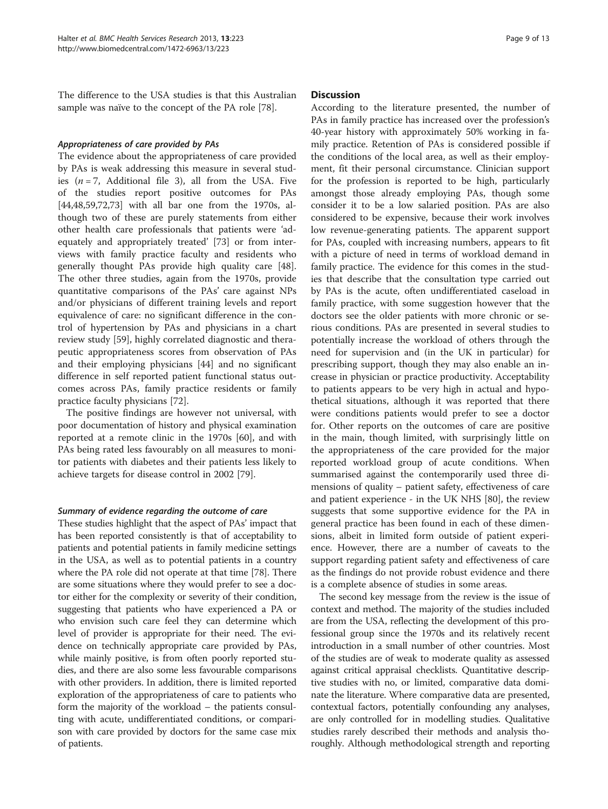The difference to the USA studies is that this Australian sample was naïve to the concept of the PA role [\[78\]](#page-12-0).

#### Appropriateness of care provided by PAs

The evidence about the appropriateness of care provided by PAs is weak addressing this measure in several studies ( $n = 7$ , Additional file [3](#page-10-0)), all from the USA. Five of the studies report positive outcomes for PAs [[44,48,59,](#page-11-0)[72,73\]](#page-12-0) with all bar one from the 1970s, although two of these are purely statements from either other health care professionals that patients were 'adequately and appropriately treated' [\[73\]](#page-12-0) or from interviews with family practice faculty and residents who generally thought PAs provide high quality care [\[48](#page-11-0)]. The other three studies, again from the 1970s, provide quantitative comparisons of the PAs' care against NPs and/or physicians of different training levels and report equivalence of care: no significant difference in the control of hypertension by PAs and physicians in a chart review study [\[59\]](#page-11-0), highly correlated diagnostic and therapeutic appropriateness scores from observation of PAs and their employing physicians [[44](#page-11-0)] and no significant difference in self reported patient functional status outcomes across PAs, family practice residents or family practice faculty physicians [[72\]](#page-12-0).

The positive findings are however not universal, with poor documentation of history and physical examination reported at a remote clinic in the 1970s [\[60](#page-12-0)], and with PAs being rated less favourably on all measures to monitor patients with diabetes and their patients less likely to achieve targets for disease control in 2002 [\[79](#page-12-0)].

#### Summary of evidence regarding the outcome of care

These studies highlight that the aspect of PAs' impact that has been reported consistently is that of acceptability to patients and potential patients in family medicine settings in the USA, as well as to potential patients in a country where the PA role did not operate at that time [\[78\]](#page-12-0). There are some situations where they would prefer to see a doctor either for the complexity or severity of their condition, suggesting that patients who have experienced a PA or who envision such care feel they can determine which level of provider is appropriate for their need. The evidence on technically appropriate care provided by PAs, while mainly positive, is from often poorly reported studies, and there are also some less favourable comparisons with other providers. In addition, there is limited reported exploration of the appropriateness of care to patients who form the majority of the workload – the patients consulting with acute, undifferentiated conditions, or comparison with care provided by doctors for the same case mix of patients.

#### Discussion

According to the literature presented, the number of PAs in family practice has increased over the profession's 40-year history with approximately 50% working in family practice. Retention of PAs is considered possible if the conditions of the local area, as well as their employment, fit their personal circumstance. Clinician support for the profession is reported to be high, particularly amongst those already employing PAs, though some consider it to be a low salaried position. PAs are also considered to be expensive, because their work involves low revenue-generating patients. The apparent support for PAs, coupled with increasing numbers, appears to fit with a picture of need in terms of workload demand in family practice. The evidence for this comes in the studies that describe that the consultation type carried out by PAs is the acute, often undifferentiated caseload in family practice, with some suggestion however that the doctors see the older patients with more chronic or serious conditions. PAs are presented in several studies to potentially increase the workload of others through the need for supervision and (in the UK in particular) for prescribing support, though they may also enable an increase in physician or practice productivity. Acceptability to patients appears to be very high in actual and hypothetical situations, although it was reported that there were conditions patients would prefer to see a doctor for. Other reports on the outcomes of care are positive in the main, though limited, with surprisingly little on the appropriateness of the care provided for the major reported workload group of acute conditions. When summarised against the contemporarily used three dimensions of quality – patient safety, effectiveness of care and patient experience - in the UK NHS [[80\]](#page-12-0), the review suggests that some supportive evidence for the PA in general practice has been found in each of these dimensions, albeit in limited form outside of patient experience. However, there are a number of caveats to the support regarding patient safety and effectiveness of care as the findings do not provide robust evidence and there is a complete absence of studies in some areas.

The second key message from the review is the issue of context and method. The majority of the studies included are from the USA, reflecting the development of this professional group since the 1970s and its relatively recent introduction in a small number of other countries. Most of the studies are of weak to moderate quality as assessed against critical appraisal checklists. Quantitative descriptive studies with no, or limited, comparative data dominate the literature. Where comparative data are presented, contextual factors, potentially confounding any analyses, are only controlled for in modelling studies. Qualitative studies rarely described their methods and analysis thoroughly. Although methodological strength and reporting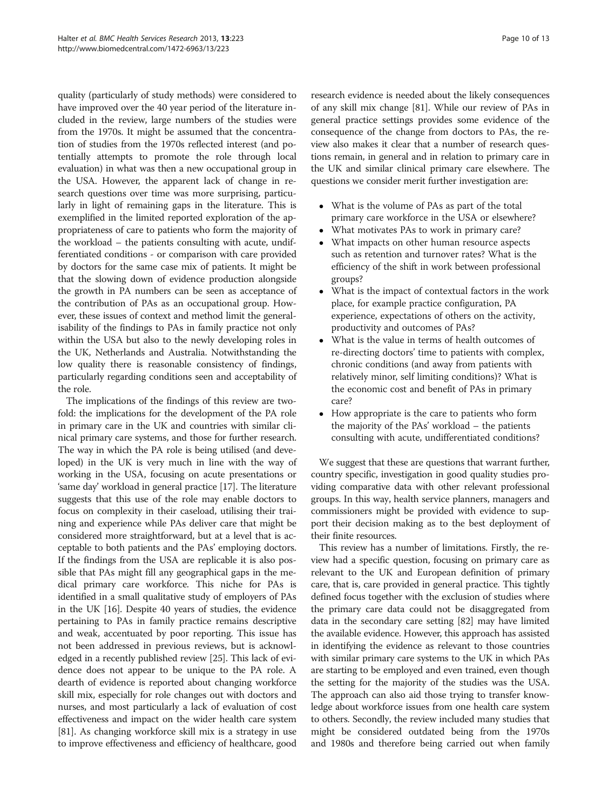quality (particularly of study methods) were considered to have improved over the 40 year period of the literature included in the review, large numbers of the studies were from the 1970s. It might be assumed that the concentration of studies from the 1970s reflected interest (and potentially attempts to promote the role through local evaluation) in what was then a new occupational group in the USA. However, the apparent lack of change in research questions over time was more surprising, particularly in light of remaining gaps in the literature. This is exemplified in the limited reported exploration of the appropriateness of care to patients who form the majority of the workload – the patients consulting with acute, undifferentiated conditions - or comparison with care provided by doctors for the same case mix of patients. It might be that the slowing down of evidence production alongside the growth in PA numbers can be seen as acceptance of the contribution of PAs as an occupational group. However, these issues of context and method limit the generalisability of the findings to PAs in family practice not only within the USA but also to the newly developing roles in the UK, Netherlands and Australia. Notwithstanding the low quality there is reasonable consistency of findings, particularly regarding conditions seen and acceptability of the role.

The implications of the findings of this review are twofold: the implications for the development of the PA role in primary care in the UK and countries with similar clinical primary care systems, and those for further research. The way in which the PA role is being utilised (and developed) in the UK is very much in line with the way of working in the USA, focusing on acute presentations or 'same day' workload in general practice [\[17\]](#page-11-0). The literature suggests that this use of the role may enable doctors to focus on complexity in their caseload, utilising their training and experience while PAs deliver care that might be considered more straightforward, but at a level that is acceptable to both patients and the PAs' employing doctors. If the findings from the USA are replicable it is also possible that PAs might fill any geographical gaps in the medical primary care workforce. This niche for PAs is identified in a small qualitative study of employers of PAs in the UK [[16\]](#page-11-0). Despite 40 years of studies, the evidence pertaining to PAs in family practice remains descriptive and weak, accentuated by poor reporting. This issue has not been addressed in previous reviews, but is acknowledged in a recently published review [\[25\]](#page-11-0). This lack of evidence does not appear to be unique to the PA role. A dearth of evidence is reported about changing workforce skill mix, especially for role changes out with doctors and nurses, and most particularly a lack of evaluation of cost effectiveness and impact on the wider health care system [[81](#page-12-0)]. As changing workforce skill mix is a strategy in use to improve effectiveness and efficiency of healthcare, good

research evidence is needed about the likely consequences of any skill mix change [[81](#page-12-0)]. While our review of PAs in general practice settings provides some evidence of the consequence of the change from doctors to PAs, the review also makes it clear that a number of research questions remain, in general and in relation to primary care in the UK and similar clinical primary care elsewhere. The questions we consider merit further investigation are:

- What is the volume of PAs as part of the total primary care workforce in the USA or elsewhere?
- What motivates PAs to work in primary care?
- What impacts on other human resource aspects such as retention and turnover rates? What is the efficiency of the shift in work between professional groups?
- What is the impact of contextual factors in the work place, for example practice configuration, PA experience, expectations of others on the activity, productivity and outcomes of PAs?
- What is the value in terms of health outcomes of re-directing doctors' time to patients with complex, chronic conditions (and away from patients with relatively minor, self limiting conditions)? What is the economic cost and benefit of PAs in primary care?
- How appropriate is the care to patients who form the majority of the PAs' workload – the patients consulting with acute, undifferentiated conditions?

We suggest that these are questions that warrant further, country specific, investigation in good quality studies providing comparative data with other relevant professional groups. In this way, health service planners, managers and commissioners might be provided with evidence to support their decision making as to the best deployment of their finite resources.

This review has a number of limitations. Firstly, the review had a specific question, focusing on primary care as relevant to the UK and European definition of primary care, that is, care provided in general practice. This tightly defined focus together with the exclusion of studies where the primary care data could not be disaggregated from data in the secondary care setting [\[82\]](#page-12-0) may have limited the available evidence. However, this approach has assisted in identifying the evidence as relevant to those countries with similar primary care systems to the UK in which PAs are starting to be employed and even trained, even though the setting for the majority of the studies was the USA. The approach can also aid those trying to transfer knowledge about workforce issues from one health care system to others. Secondly, the review included many studies that might be considered outdated being from the 1970s and 1980s and therefore being carried out when family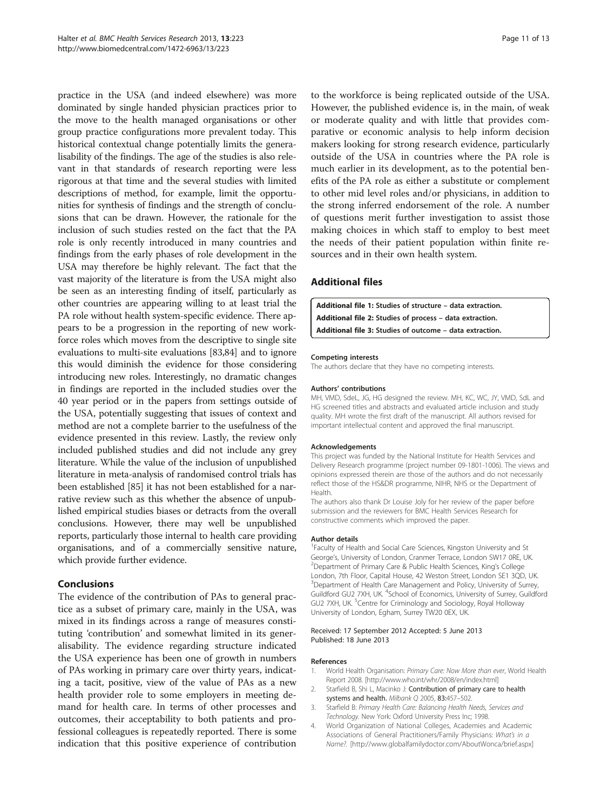<span id="page-10-0"></span>practice in the USA (and indeed elsewhere) was more dominated by single handed physician practices prior to the move to the health managed organisations or other group practice configurations more prevalent today. This historical contextual change potentially limits the generalisability of the findings. The age of the studies is also relevant in that standards of research reporting were less rigorous at that time and the several studies with limited descriptions of method, for example, limit the opportunities for synthesis of findings and the strength of conclusions that can be drawn. However, the rationale for the inclusion of such studies rested on the fact that the PA role is only recently introduced in many countries and findings from the early phases of role development in the USA may therefore be highly relevant. The fact that the vast majority of the literature is from the USA might also be seen as an interesting finding of itself, particularly as other countries are appearing willing to at least trial the PA role without health system-specific evidence. There appears to be a progression in the reporting of new workforce roles which moves from the descriptive to single site evaluations to multi-site evaluations [\[83,84\]](#page-12-0) and to ignore this would diminish the evidence for those considering introducing new roles. Interestingly, no dramatic changes in findings are reported in the included studies over the 40 year period or in the papers from settings outside of the USA, potentially suggesting that issues of context and method are not a complete barrier to the usefulness of the evidence presented in this review. Lastly, the review only included published studies and did not include any grey literature. While the value of the inclusion of unpublished literature in meta-analysis of randomised control trials has been established [\[85\]](#page-12-0) it has not been established for a narrative review such as this whether the absence of unpublished empirical studies biases or detracts from the overall conclusions. However, there may well be unpublished reports, particularly those internal to health care providing organisations, and of a commercially sensitive nature, which provide further evidence.

#### Conclusions

The evidence of the contribution of PAs to general practice as a subset of primary care, mainly in the USA, was mixed in its findings across a range of measures constituting 'contribution' and somewhat limited in its generalisability. The evidence regarding structure indicated the USA experience has been one of growth in numbers of PAs working in primary care over thirty years, indicating a tacit, positive, view of the value of PAs as a new health provider role to some employers in meeting demand for health care. In terms of other processes and outcomes, their acceptability to both patients and professional colleagues is repeatedly reported. There is some indication that this positive experience of contribution to the workforce is being replicated outside of the USA. However, the published evidence is, in the main, of weak or moderate quality and with little that provides comparative or economic analysis to help inform decision makers looking for strong research evidence, particularly outside of the USA in countries where the PA role is much earlier in its development, as to the potential benefits of the PA role as either a substitute or complement to other mid level roles and/or physicians, in addition to the strong inferred endorsement of the role. A number of questions merit further investigation to assist those making choices in which staff to employ to best meet the needs of their patient population within finite resources and in their own health system.

#### Additional files

[Additional file 1:](http://www.biomedcentral.com/content/supplementary/1472-6963-13-223-S1.docx) Studies of structure – data extraction. [Additional file 2:](http://www.biomedcentral.com/content/supplementary/1472-6963-13-223-S2.docx) Studies of process – data extraction. [Additional file 3:](http://www.biomedcentral.com/content/supplementary/1472-6963-13-223-S3.docx) Studies of outcome – data extraction.

#### Competing interests

The authors declare that they have no competing interests.

#### Authors' contributions

MH, VMD, SdeL, JG, HG designed the review. MH, KC, WC, JY, VMD, SdL and HG screened titles and abstracts and evaluated article inclusion and study quality. MH wrote the first draft of the manuscript. All authors revised for important intellectual content and approved the final manuscript.

#### Acknowledgements

This project was funded by the National Institute for Health Services and Delivery Research programme (project number 09-1801-1006). The views and opinions expressed therein are those of the authors and do not necessarily reflect those of the HS&DR programme, NIHR, NHS or the Department of Health.

The authors also thank Dr Louise Joly for her review of the paper before submission and the reviewers for BMC Health Services Research for constructive comments which improved the paper.

#### Author details

<sup>1</sup> Faculty of Health and Social Care Sciences, Kingston University and St George's, University of London, Cranmer Terrace, London SW17 0RE, UK. <sup>2</sup> <sup>2</sup>Department of Primary Care & Public Health Sciences, King's College London, 7th Floor, Capital House, 42 Weston Street, London SE1 3QD, UK. <sup>3</sup> Department of Health Care Management and Policy, University of Surrey, Guildford GU2 7XH, UK. <sup>4</sup>School of Economics, University of Surrey, Guildford GU2 7XH, UK.<sup>5</sup> Centre for Criminology and Sociology, Royal Holloway University of London, Egham, Surrey TW20 0EX, UK.

#### Received: 17 September 2012 Accepted: 5 June 2013 Published: 18 June 2013

#### References

- 1. World Health Organisation: Primary Care: Now More than ever, World Health Report 2008. [[http://www.who.int/whr/2008/en/index.html\]](http://www.who.int/whr/2008/en/index.html)
- 2. Starfield B, Shi L, Macinko J: Contribution of primary care to health systems and health. Milbank Q 2005, 83:457–502.
- 3. Starfield B: Primary Health Care: Balancing Health Needs, Services and Technology. New York: Oxford University Press Inc; 1998.
- 4. World Organization of National Colleges, Academies and Academic Associations of General Practitioners/Family Physicians: What's in a Name?. [\[http://www.globalfamilydoctor.com/AboutWonca/brief.aspx](http://www.globalfamilydoctor.com/AboutWonca/brief.aspx)]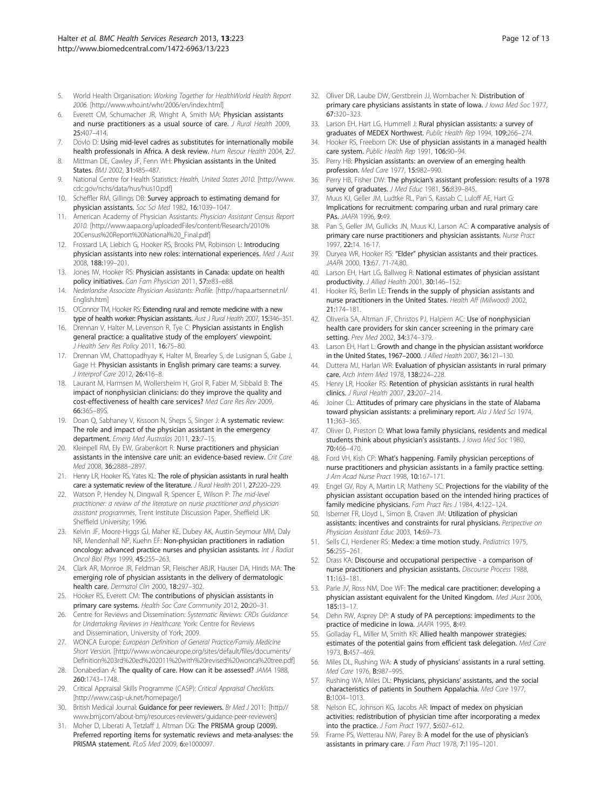- <span id="page-11-0"></span>5. World Health Organisation: Working Together for HealthWorld Health Report 2006. [\[http://www.who.int/whr/2006/en/index.html](http://www.who.int/whr/2006/en/index.html)]
- 6. Everett CM, Schumacher JR, Wright A, Smith MA: Physician assistants and nurse practitioners as a usual source of care. J Rural Health 2009, 25:407–414.
- 7. Dovlo D: Using mid-level cadres as substitutes for internationally mobile health professionals in Africa. A desk review. Hum Resour Health 2004, 2:7.
- 8. Mittman DE, Cawley JF, Fenn WH: Physician assistants in the United States. BMJ 2002, 31:485–487.
- 9. National Centre for Health Statistics: Health, United States 2010. [\[http://www.](http://www.cdc.gov/nchs/hus.htm) cdc.gov/nchs/data/hus/hus10.pdfl
- 10. Scheffler RM, Gillings DB: Survey approach to estimating demand for physician assistants. Soc Sci Med 1982, 16:1039–1047.
- 11. American Academy of Physician Assistants: Physician Assistant Census Report 2010. [\[http://www.aapa.org/uploadedFiles/content/Research/2010%](http://www.aapa.org/uploadedFiles/content/Research/2010%20Census%20Report%20National%20_Final.pdf) [20Census%20Report%20National%20\\_Final.pdf\]](http://www.aapa.org/uploadedFiles/content/Research/2010%20Census%20Report%20National%20_Final.pdf)
- 12. Frossard LA, Liebich G, Hooker RS, Brooks PM, Robinson L: Introducing physician assistants into new roles: international experiences. Med J Aust 2008, 188:199–201.
- 13. Jones IW, Hooker RS: Physician assistants in Canada: update on health policy initiatives. Can Fam Physician 2011, 57:e83-e88.
- 14. Nederlandse Associate Physician Assistants: Profile. [\[http://napa.artsennet.nl/](http://napa.artsennet.nl/English.htm) [English.htm\]](http://napa.artsennet.nl/English.htm)
- 15. O'Connor TM, Hooker RS: Extending rural and remote medicine with a new type of health worker: Physician assistants. Aust J Rural Health 2007, 15:346-351.
- 16. Drennan V, Halter M, Levenson R, Tye C: Physician assistants in English general practice: a qualitative study of the employers' viewpoint. J Health Serv Res Policy 2011, 16:75–80.
- 17. Drennan VM, Chattopadhyay K, Halter M, Brearley S, de Lusignan S, Gabe J, Gage H: Physician assistants in English primary care teams: a survey. J Interprof Care 2012, 26:416–8.
- 18. Laurant M, Harmsen M, Wollersheim H, Grol R, Faber M, Sibbald B: The impact of nonphysician clinicians: do they improve the quality and cost-effectiveness of health care services? Med Care Res Rev 2009, 66:36S–89S.
- 19. Doan Q, Sabhaney V, Kissoon N, Sheps S, Singer J: A systematic review: The role and impact of the physician assistant in the emergency department. Emerg Med Australas 2011, 23:7–15.
- 20. Kleinpell RM, Ely EW, Grabenkort R: Nurse practitioners and physician assistants in the intensive care unit: an evidence-based review. Crit Care Med 2008, 36:2888–2897.
- 21. Henry LR, Hooker RS, Yates KL: The role of physician assistants in rural health care: a systematic review of the literature. J Rural Health 2011, 27:220-229.
- 22. Watson P, Hendey N, Dingwall R, Spencer E, Wilson P: The mid-level practitioner: a review of the literature on nurse practitioner and physician assistant programmes, Trent Institute Discussion Paper. Sheffield UK: Sheffield University; 1996.
- 23. Kelvin JF, Moore-Higgs GJ, Maher KE, Dubey AK, Austin-Seymour MM, Daly NR, Mendenhall NP, Kuehn EF: Non-physician practitioners in radiation oncology: advanced practice nurses and physician assistants. Int J Radiat Oncol Biol Phys 1999, 45:255–263.
- 24. Clark AR, Monroe JR, Feldman SR, Fleischer ABJR, Hauser DA, Hinds MA: The emerging role of physician assistants in the delivery of dermatologic health care. Dermatol Clin 2000, 18:297-302.
- 25. Hooker RS, Everett CM: The contributions of physician assistants in primary care systems. Health Soc Care Community 2012, 20:20-31.
- 26. Centre for Reviews and Dissemination: Systematic Reviews: CRDs Guidance for Undertaking Reviews in Healthcare. York: Centre for Reviews and Dissemination, University of York; 2009.
- 27. WONCA Europe: European Definition of General Practice/Family Medicine Short Version. [\[http://www.woncaeurope.org/sites/default/files/documents/](http://www.woncaeurope.org/Definition%20GP-FM.htm) [Definition%203rd%20ed%202011%20with%20revised%20wonca%20tree.pdf](http://www.woncaeurope.org/Definition%20GP-FM.htm)]
- 28. Donabedian A: The quality of care. How can it be assessed? JAMA 1988, 260:1743–1748.
- 29. Critical Appraisal Skills Programme (CASP): Critical Appraisal Checklists. [<http://www.casp-uk.net/homepage/>]
- 30. British Medical Journal: Guidance for peer reviewers. Br Med J 2011: [\[http://](http://www.bmj.com/about-bmj/resources-reviewers/guidance-peer-reviewers) [www.bmj.com/about-bmj/resources-reviewers/guidance-peer-reviewers\]](http://www.bmj.com/about-bmj/resources-reviewers/guidance-peer-reviewers)
- 31. Moher D, Liberati A, Tetzlaff J, Altman DG: The PRISMA group (2009). Preferred reporting items for systematic reviews and meta-analyses: the PRISMA statement. PLoS Med 2009, 6:e1000097.
- 32. Oliver DR, Laube DW, Gerstbrein JJ, Wombacher N: Distribution of primary care physicians assistants in state of Iowa. J lowa Med Soc 1977, 67:320–323.
- 33. Larson EH, Hart LG, Hummell J: Rural physician assistants: a survey of graduates of MEDEX Northwest. Public Health Rep 1994, 109:266–274.
- 34. Hooker RS, Freeborn DK: Use of physician assistants in a managed health care system. Public Health Rep 1991, 106:90–94.
- 35. Perry HB: Physician assistants: an overview of an emerging health profession. Med Care 1977, 15:982–990.
- 36. Perry HB, Fisher DW: The physician's assistant profession: results of a 1978 survey of graduates. J Med Educ 1981, 56:839-845.
- 37. Muus KJ, Geller JM, Ludtke RL, Pan S, Kassab C, Luloff AE, Hart G: Implications for recruitment: comparing urban and rural primary care PAs. JAAPA 1996, 9:49.
- 38. Pan S, Geller JM, Gullicks JN, Muus KJ, Larson AC: A comparative analysis of primary care nurse practitioners and physician assistants. Nurse Pract 1997, 22:14, 16-17
- 39. Duryea WR, Hooker RS: "Elder" physician assistants and their practices. JAAPA 2000, 13:67. 71-74,80.
- 40. Larson EH, Hart LG, Ballweg R: National estimates of physician assistant productivity. J Allied Health 2001, 30:146–152.
- 41. Hooker RS, Berlin LE: Trends in the supply of physician assistants and nurse practitioners in the United States. Health Aff (Millwood) 2002, 21:174–181.
- 42. Oliveria SA, Altman JF, Christos PJ, Halpern AC: Use of nonphysician health care providers for skin cancer screening in the primary care setting. Prev Med 2002, 34:374–379.
- 43. Larson EH, Hart L: Growth and change in the physician assistant workforce in the United States, 1967–2000. J Allied Health 2007, 36:121–130.
- 44. Duttera MJ, Harlan WR: Evaluation of physician assistants in rural primary care. Arch Intern Med 1978, 138:224–228.
- 45. Henry LR, Hooker RS: Retention of physician assistants in rural health clinics. J Rural Health 2007, 23:207–214.
- 46. Joiner CL: Attitudes of primary care physicians in the state of Alabama toward physician assistants: a preliminary report. Ala J Med Sci 1974, 11:363–365.
- 47. Oliver D, Preston D: What Iowa family physicians, residents and medical students think about physician's assistants. J lowa Med Soc 1980, 70:466–470.
- 48. Ford VH, Kish CP: What's happening. Family physician perceptions of nurse practitioners and physician assistants in a family practice setting. J Am Acad Nurse Pract 1998, 10:167–171.
- 49. Engel GV, Roy A, Martin LR, Matheny SC: Projections for the viability of the physician assistant occupation based on the intended hiring practices of family medicine physicians. Fam Pract Res J 1984, 4:122-124.
- 50. Isberner FR, Lloyd L, Simon B, Craven JM: Utilization of physician assistants: incentives and constraints for rural physicians. Perspective on Physician Assistant Educ 2003, 14:69–73.
- 51. Sells CJ, Herdener RS: Medex: a time motion study. Pediatrics 1975, 56:255–261.
- 52. Drass KA: Discourse and occupational perspective a comparison of nurse practitioners and physician assistants. Discourse Process 1988, 11:163–181.
- 53. Parle JV, Ross NM, Doe WF: The medical care practitioner: developing a physician assistant equivalent for the United Kingdom. Med JAust 2006, 185:13–17.
- 54. Dehn RW, Asprey DP: A study of PA perceptions: impediments to the practice of medicine in Iowa. JAAPA 1995, 8:49.
- 55. Golladay FL, Miller M, Smith KR: Allied health manpower strategies: estimates of the potential gains from efficient task delegation. Med Care 1973, B:457–469.
- 56. Miles DL, Rushing WA: A study of physicians' assistants in a rural setting. Med Care 1976, B:987–995.
- 57. Rushing WA, Miles DL: Physicians, physicians' assistants, and the social characteristics of patients in Southern Appalachia. Med Care 1977, B:1004–1013.
- 58. Nelson EC, Johnson KG, Jacobs AR: Impact of medex on physician activities: redistribution of physician time after incorporating a medex into the practice. J Fam Pract 1977, 5:607–612.
- 59. Frame PS, Wetterau NW, Parey B: A model for the use of physician's assistants in primary care. J Fam Pract 1978, 7:1195–1201.